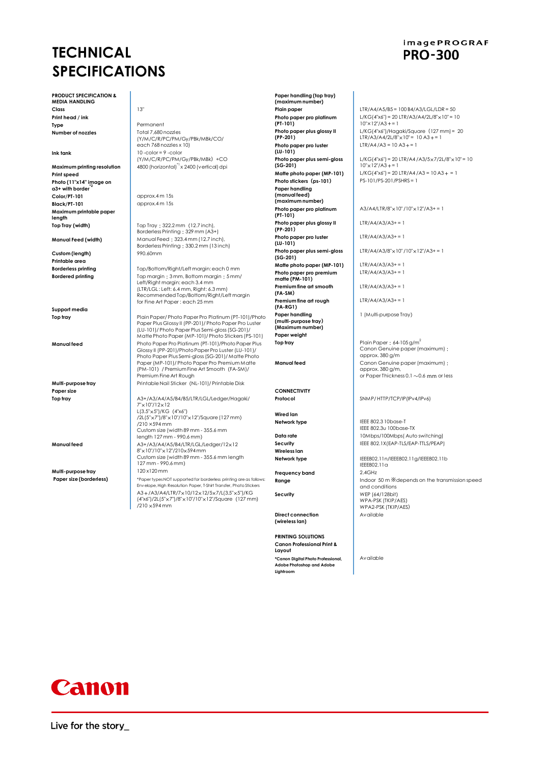# **TECHNICAL SPECIFICATIONS**

**PRODUCT SPECIFICATION & MEDIA HANDLING Class** 13" **Print head / ink**

**Number of nozzles** 

**Print speed Photo (11"x14" image on a3+ with border\*2 Color/PT-101** approx.4 m 15s<br>**Black/PT-101** approx.4 m 15s **Maximum printable paper length**

**Custom (length) Printable area**

**Support media**

**Paper size**

**Multi-purpose tray** 

Permanent<br>Total 7,680 nozzles (Y/M/C/R/PC/PM/Gy/PBk/MBk/CO/ each 768 nozzles x 10) **Ink tank** 10 -color = 9 -color (Y/M/C/R/PC/PM/Gy/PBk/MBk)+CO **Maximum printing resolution** 4800 (horizontal)<sup>\*1</sup> x 2400 (vertical) dpi

**Black/PT-101** approx.4 m 15s

**Top Tray (width)** Top Tray: 322.2 mm (12.7 inch), **Top Tray: 322.2 mm** (12.7 inch), **Manual Feed (width)** Manual Feed: 323.4 mm (12.7 inch), Borderless Printing: 330.2 mm (13 inch)<br>990.60mm

**Borderless printing**<br> **Bordered printing**<br> **Top margin: 3 mm. Bottom margin: 5 mm. Reflexive Bordered printing**<br>
Left/Right margin: each 3.4 mm (LTR/LGL : Left: 6.4 mm, Right: 6.3 mm) Recommended Top/Bottom/Right/Left margin for Fine Art Paper : each 25 mm

**Top tray** Plain Paper/ Photo Paper Pro Platinum (PT-101)/Photo<br>Paper Plus Glossy II (PP-201)/ Photo Paper Pro Luster (LU-101)/ Photo Paper Plus Semi-gloss (SG-201)/ Matte Photo Paper (MP-101)/ Photo Stickers (PS-101) **Manual feed** Photo Paper Pro Platinum (PT-101)/Photo Paper Plus Glossy II (PP-201)/Photo Paper Pro Luster (LU-101)/ Photo Paper Plus Semi-gloss (SG-201)/ Matte Photo Paper (MP-101)/ Photo Paper Pro Premium Matte (PM-101)/ Premium Fine Art Smooth(FA-SM)/ Premium Fine Art Rough

**Multi-purpose tray Printable Nail Sticker (NL-101)/ Printable Disk** 

**Top tray A**3+/A3/A4/A5/B4/B5/LTR/LGL/Ledger/Hagaki/<br>
7"x10"/12x12 L(3.5"×5")/KG(4"x6") /2L(5"×7")/8"×10"/10"×12"/Square (127 mm) /210 ×594 mm Custom size (width 89 mm - 355.6 mm length 127 mm - 990.6 mm) **Manual feed** A3+/A3/A4/A5/B4/LTR/LGL/Ledger/12×12

8"×10"/10"×12"/210×594 mm Custom size (width 89 mm - 355.6 mm length 127 mm - 990.6 mm)<br>120 x120 mm

**Paper size (borderless)** \*Paper types NOT supported for borderless printing are as follows: Envelope, High Resolution Paper, T-Shirt Transfer, Photo Stickers A3+/A3/A4/LTR/7×10/12×12/5×7/L(3.5"×5")/KG (4"x6")/2L(5"×7")/8"×10"/10"×12"/Square(127 mm) /210 ×594 mm

**(maximum number) Photo paper pro platinum (PT-101) Photo paper plus glossy II (PP-201) Photo paper pro luster (LU-101) Photo paper plus semi-gloss (SG-201) Photo stickers** (ps-101) **Paper handling (manual feed) (maximum number) Photo paper pro platinum (PT-101) Photo paper plus glossy II (PP-201) Photo paper pro luster (LU-101) Photo paper plus semi-gloss (SG-201) Matte photo paper (MP-101)** LTR/A4/A3/A3+ = 1 **Photo paper pro premium matte (PM-101) Premium fine art smooth (FA-SM) Premium fine art rough (FA-RG1) Paper handling (multi-purpose tray) (Maximum number) Paper weight Top tray** Plain Paper: 64-105 g/m<sup>2</sup>

**Paper handling (top tray)**

**CONNECTIVITY**

**Wired lan**

**Wireless lan**

**Frequency band** 2.4GHz

**Direct connection (wireless lan)**

**PRINTING SOLUTIONS Canon Professional Print & Layout**

**\*Canon Digital Photo Professional, Adobe Photoshop and Adobe Lightr** 

## **imagePROGRAF PRO-300**

**Plain paper** LTR/A4/A5/B5 = 100 B4/A3/LGL/LDR = 50  $L/KG(4'x6'') = 20 LTR/A3/A4/2L/8''x10'' = 10$  $10'' \times 12''/A3 + 1$ L/KG(4"x6")/Hagaki/Square (127 mm)= 20<br>LTR/A3/A4/2L/8"x10"= 10 A3+= 1 LTR/A4/A3 =  $10 A3 + 1$ 

L/KG(4"x6") = 20 LTR/A4 /A3/5×7/2L/8"×10" = 10  $10'' \times 12''/A3 += 1$ **Matte photo paper (MP-101)** L/KG(4"x6") = 20 LTR/A4/A3 = 10 A3 + = 1<br> **Photo stickers (ps-101)** PS-101/PS-201/PSHRS = 1

 $A3/A4/LTR/8" \times 10" / 10" \times 12" / A3+ = 1$ 

 $ITR/A4/A3/A3 += 1$ 

 $ITR/A4/A3/A3 += 1$ 

LTR/A4/A3/8"×10" /10"×12"/A3+ = 1

 $LTR/A4/A3/A3 += 1$ 

 $ITP/AA/A3/A3+=1$ 

 $LTR/A4/A3/A3 += 1$ 

1 (Multi-purpose Tray)

Canon Genuine paper (maximum): approx. 380 g/m **Manual feed** Canon Genuine paper (maximum): approx. 380 g/m, or Paper Thickness 0.1  $\sim$  0.6 mm or less

**Protocol** SNMP/ HTTP/TCP/IP(IPv4/IPv6)

**Network type** IEEE 802.3 10base-T IEEE 802.3u 100base-TX **Data rate** 10Mbps/100Mbps( Auto switching) **Security** IEEE 802.1X(EAP-TLS/EAP-TTLS/PEAP)

**Network type IEEE802.11n/IEEE802.11g/IEEE802.11b** IEEE802.11a **Range Indoor 50 m ※depends on the transmission speed and conditions Security** WEP (64/128bit) WPA-PSK (TKIP/AES) WPA2-PSK (TKIP/AES) Available

Available



Live for the story\_